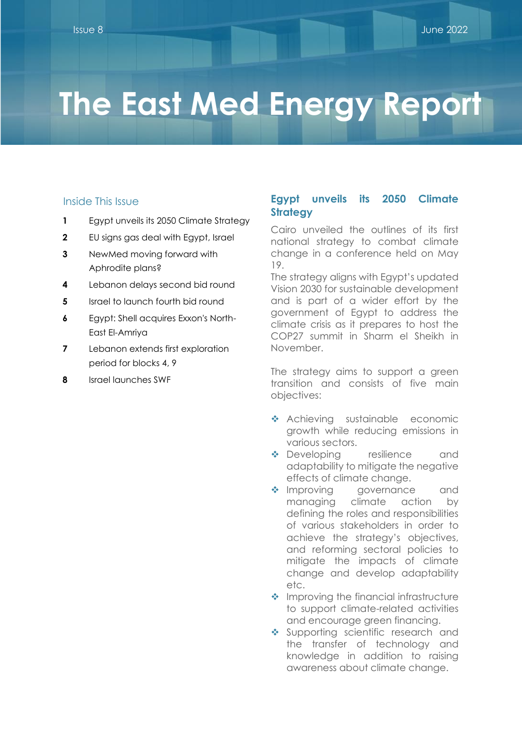# **The East Med Energy Report**

## Inside This Issue

- **1** Egypt unveils its 2050 Climate Strategy
- **2** EU signs gas deal with Egypt, Israel
- **3** NewMed moving forward with Aphrodite plans?
- **4** Lebanon delays second bid round
- **5** Israel to launch fourth bid round
- **6** Egypt: Shell acquires Exxon's North-East El-Amriya
- **7** Lebanon extends first exploration period for blocks 4, 9
- **8** Israel launches SWF

## **Egypt unveils its 2050 Climate Strategy**

Cairo unveiled the outlines of its first national strategy to combat climate change in a conference held on May 19.

The strategy aligns with Egypt's updated Vision 2030 for sustainable development and is part of a wider effort by the government of Egypt to address the climate crisis as it prepares to host the COP27 summit in Sharm el Sheikh in November.

The strategy aims to support a green transition and consists of five main objectives:

- ❖ Achieving sustainable economic growth while reducing emissions in various sectors.
- ❖ Developing resilience and adaptability to mitigate the negative effects of climate change.
- Improving governance and managing climate action by defining the roles and responsibilities of various stakeholders in order to achieve the strategy's objectives, and reforming sectoral policies to mitigate the impacts of climate change and develop adaptability etc.
- ❖ Improving the financial infrastructure to support climate-related activities and encourage green financing.
- ❖ Supporting scientific research and the transfer of technology and knowledge in addition to raising awareness about climate change.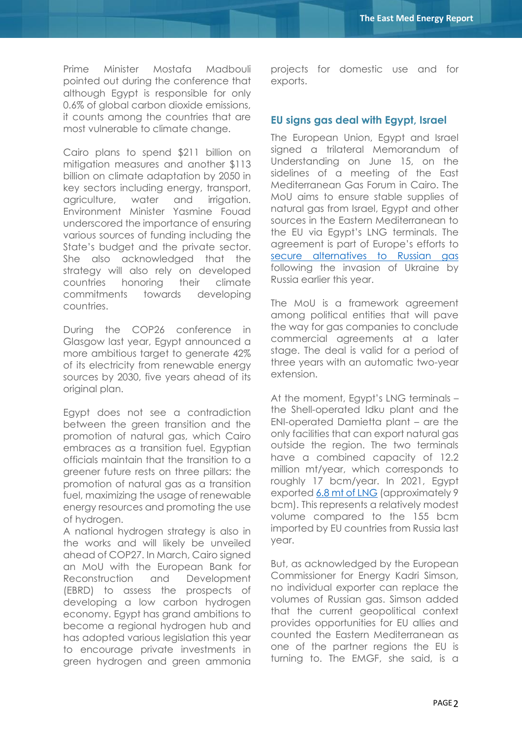Prime Minister Mostafa Madbouli pointed out during the conference that although Egypt is responsible for only 0.6% of global carbon dioxide emissions, it counts among the countries that are most vulnerable to climate change.

Cairo plans to spend \$211 billion on mitigation measures and another \$113 billion on climate adaptation by 2050 in key sectors including energy, transport, agriculture, water and irrigation. Environment Minister Yasmine Fouad underscored the importance of ensuring various sources of funding including the State's budget and the private sector. She also acknowledged that the strategy will also rely on developed countries honoring their climate commitments towards developing countries.

During the COP26 conference in Glasgow last year, Egypt announced a more ambitious target to generate 42% of its electricity from renewable energy sources by 2030, five years ahead of its original plan.

Egypt does not see a contradiction between the green transition and the promotion of natural gas, which Cairo embraces as a transition fuel. Egyptian officials maintain that the transition to a greener future rests on three pillars: the promotion of natural gas as a transition fuel, maximizing the usage of renewable energy resources and promoting the use of hydrogen.

A national hydrogen strategy is also in the works and will likely be unveiled ahead of COP27. In March, Cairo signed an MoU with the European Bank for Reconstruction and Development (EBRD) to assess the prospects of developing a low carbon hydrogen economy. Egypt has grand ambitions to become a regional hydrogen hub and has adopted various legislation this year to encourage private investments in green hydrogen and green ammonia projects for domestic use and for exports.

## **EU signs gas deal with Egypt, Israel**

The European Union, Egypt and Israel signed a trilateral Memorandum of Understanding on June 15, on the sidelines of a meeting of the East Mediterranean Gas Forum in Cairo. The MoU aims to ensure stable supplies of natural gas from Israel, Egypt and other sources in the Eastern Mediterranean to the EU via Egypt's LNG terminals. The agreement is part of Europe's efforts to [secure alternatives to Russian gas](https://www.mesp.me/wp-content/uploads/2022/04/The-East-Med-Energy-Report-Issue-6.pdf) following the invasion of Ukraine by Russia earlier this year.

The MoU is a framework agreement among political entities that will pave the way for gas companies to conclude commercial agreements at a later stage. The deal is valid for a period of three years with an automatic two-year extension.

At the moment, Egypt's LNG terminals – the Shell-operated Idku plant and the ENI-operated Damietta plant – are the only facilities that can export natural gas outside the region. The two terminals have a combined capacity of 12.2 million mt/year, which corresponds to roughly 17 bcm/year. In 2021, Egypt exported [6.8 mt of LNG](https://www.mees.com/2022/1/14/oil-gas/egypt-posts-10-year-high-lng-exports-of-68mn-tons-for-2021/25999600-7543-11ec-a555-a73a6ee2710b) (approximately 9 bcm). This represents a relatively modest volume compared to the 155 bcm imported by EU countries from Russia last year.

But, as acknowledged by the European Commissioner for Energy Kadri Simson, no individual exporter can replace the volumes of Russian gas. Simson added that the current geopolitical context provides opportunities for EU allies and counted the Eastern Mediterranean as one of the partner regions the EU is turning to. The EMGF, she said, is a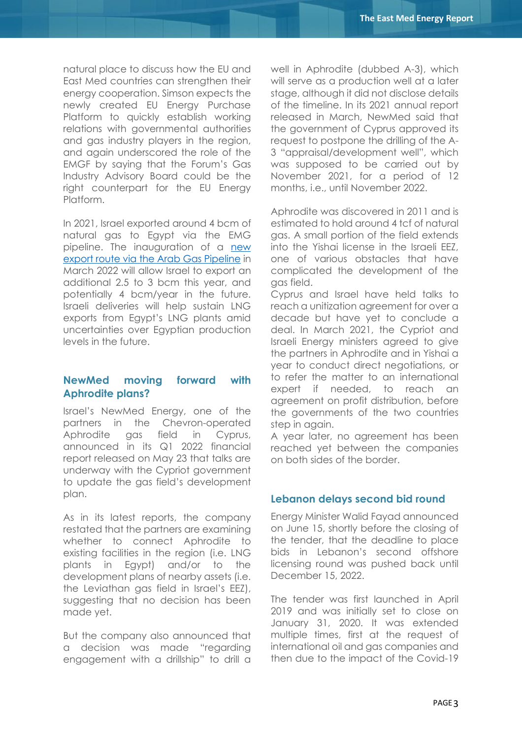natural place to discuss how the EU and East Med countries can strengthen their energy cooperation. Simson expects the newly created EU Energy Purchase Platform to quickly establish working relations with governmental authorities and gas industry players in the region, and again underscored the role of the EMGF by saying that the Forum's Gas Industry Advisory Board could be the right counterpart for the EU Energy Platform.

In 2021, Israel exported around 4 bcm of natural gas to Egypt via the EMG pipeline. The inauguration of a [new](https://www.mesp.me/wp-content/uploads/2022/03/The-East-Med-Energy-Report-Issue-5.pdf)  [export route via the Arab Gas Pipeline](https://www.mesp.me/wp-content/uploads/2022/03/The-East-Med-Energy-Report-Issue-5.pdf) in March 2022 will allow Israel to export an additional 2.5 to 3 bcm this year, and potentially 4 bcm/year in the future. Israeli deliveries will help sustain LNG exports from Egypt's LNG plants amid uncertainties over Egyptian production levels in the future.

#### **NewMed moving forward with Aphrodite plans?**

Israel's NewMed Energy, one of the partners in the Chevron-operated Aphrodite gas field in Cyprus, announced in its Q1 2022 financial report released on May 23 that talks are underway with the Cypriot government to update the gas field's development plan.

As in its latest reports, the company restated that the partners are examining whether to connect Aphrodite to existing facilities in the region (i.e. LNG plants in Egypt) and/or to the development plans of nearby assets (i.e. the Leviathan gas field in Israel's EEZ), suggesting that no decision has been made yet.

But the company also announced that a decision was made "regarding engagement with a drillship" to drill a well in Aphrodite (dubbed A-3), which will serve as a production well at a later stage, although it did not disclose details of the timeline. In its 2021 annual report released in March, NewMed said that the government of Cyprus approved its request to postpone the drilling of the A-3 "appraisal/development well", which was supposed to be carried out by November 2021, for a period of 12 months, i.e., until November 2022.

Aphrodite was discovered in 2011 and is estimated to hold around 4 tcf of natural gas. A small portion of the field extends into the Yishai license in the Israeli EEZ, one of various obstacles that have complicated the development of the gas field.

Cyprus and Israel have held talks to reach a unitization agreement for over a decade but have yet to conclude a deal. In March 2021, the Cypriot and Israeli Energy ministers agreed to give the partners in Aphrodite and in Yishai a year to conduct direct negotiations, or to refer the matter to an international expert if needed, to reach an agreement on profit distribution, before the governments of the two countries step in again.

A year later, no agreement has been reached yet between the companies on both sides of the border.

#### **Lebanon delays second bid round**

Energy Minister Walid Fayad announced on June 15, shortly before the closing of the tender, that the deadline to place bids in Lebanon's second offshore licensing round was pushed back until December 15, 2022.

The tender was first launched in April 2019 and was initially set to close on January 31, 2020. It was extended multiple times, first at the request of international oil and gas companies and then due to the impact of the Covid-19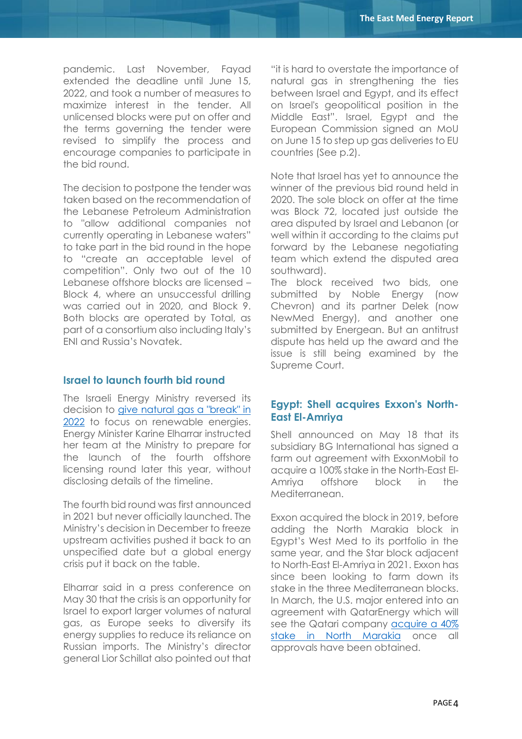pandemic. Last November, Fayad extended the deadline until June 15, 2022, and took a number of measures to maximize interest in the tender. All unlicensed blocks were put on offer and the terms governing the tender were revised to simplify the process and encourage companies to participate in the bid round.

The decision to postpone the tender was taken based on the recommendation of the Lebanese Petroleum Administration to "allow additional companies not currently operating in Lebanese waters" to take part in the bid round in the hope to "create an acceptable level of competition". Only two out of the 10 Lebanese offshore blocks are licensed – Block 4, where an unsuccessful drilling was carried out in 2020, and Block 9. Both blocks are operated by Total, as part of a consortium also including Italy's ENI and Russia's Novatek.

#### **Israel to launch fourth bid round**

The Israeli Energy Ministry reversed its decision to [give natural gas a "break" in](https://mesp.me/wp-content/uploads/2022/01/The-East-Med-Energy-Report-Issue-3.pdf)  [2022](https://mesp.me/wp-content/uploads/2022/01/The-East-Med-Energy-Report-Issue-3.pdf) to focus on renewable energies. Energy Minister Karine Elharrar instructed her team at the Ministry to prepare for the launch of the fourth offshore licensing round later this year, without disclosing details of the timeline.

The fourth bid round was first announced in 2021 but never officially launched. The Ministry's decision in December to freeze upstream activities pushed it back to an unspecified date but a global energy crisis put it back on the table.

Elharrar said in a press conference on May 30 that the crisis is an opportunity for Israel to export larger volumes of natural gas, as Europe seeks to diversify its energy supplies to reduce its reliance on Russian imports. The Ministry's director general Lior Schillat also pointed out that "it is hard to overstate the importance of natural gas in strengthening the ties between Israel and Egypt, and its effect on Israel's geopolitical position in the Middle East". Israel, Egypt and the European Commission signed an MoU on June 15 to step up gas deliveries to EU countries (See p.2).

Note that Israel has yet to announce the winner of the previous bid round held in 2020. The sole block on offer at the time was Block 72, located just outside the area disputed by Israel and Lebanon (or well within it according to the claims put forward by the Lebanese negotiating team which extend the disputed area southward).

The block received two bids, one submitted by Noble Energy (now Chevron) and its partner Delek (now NewMed Energy), and another one submitted by Energean. But an antitrust dispute has held up the award and the issue is still being examined by the Supreme Court.

# **Egypt: Shell acquires Exxon's North-East El-Amriya**

Shell announced on May 18 that its subsidiary BG International has signed a farm out agreement with ExxonMobil to acquire a 100% stake in the North-East El-Amriya offshore block in the Mediterranean.

Exxon acquired the block in 2019, before adding the North Marakia block in Egypt's West Med to its portfolio in the same year, and the Star block adjacent to North-East El-Amriya in 2021. Exxon has since been looking to farm down its stake in the three Mediterranean blocks. In March, the U.S. major entered into an agreement with QatarEnergy which will see the Qatari company [acquire a 40%](https://www.mesp.me/wp-content/uploads/2022/04/The-East-Med-Energy-Report-Issue-6.pdf)  [stake in North Marakia](https://www.mesp.me/wp-content/uploads/2022/04/The-East-Med-Energy-Report-Issue-6.pdf) once all approvals have been obtained.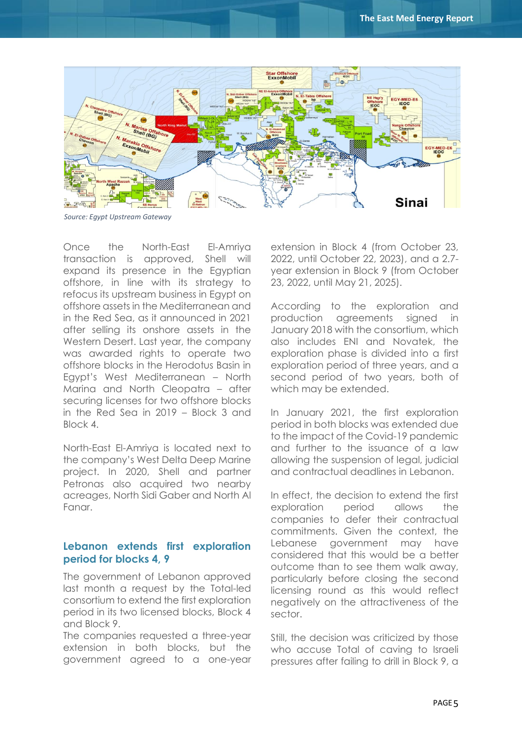

*Source: Egypt Upstream Gateway*

Once the North-East El-Amriya transaction is approved, Shell will expand its presence in the Egyptian offshore, in line with its strategy to refocus its upstream business in Egypt on offshore assets in the Mediterranean and in the Red Sea, as it announced in 2021 after selling its onshore assets in the Western Desert. Last year, the company was awarded rights to operate two offshore blocks in the Herodotus Basin in Egypt's West Mediterranean – North Marina and North Cleopatra – after securing licenses for two offshore blocks in the Red Sea in 2019 – Block 3 and Block 4.

North-East El-Amriya is located next to the company's West Delta Deep Marine project. In 2020, Shell and partner Petronas also acquired two nearby acreages, North Sidi Gaber and North Al Fanar.

# **Lebanon extends first exploration period for blocks 4, 9**

The government of Lebanon approved last month a request by the Total-led consortium to extend the first exploration period in its two licensed blocks, Block 4 and Block 9.

The companies requested a three-year extension in both blocks, but the government agreed to a one-year extension in Block 4 (from October 23, 2022, until October 22, 2023), and a 2.7 year extension in Block 9 (from October 23, 2022, until May 21, 2025).

According to the exploration and production agreements signed in January 2018 with the consortium, which also includes ENI and Novatek, the exploration phase is divided into a first exploration period of three years, and a second period of two years, both of which may be extended.

In January 2021, the first exploration period in both blocks was extended due to the impact of the Covid-19 pandemic and further to the issuance of a law allowing the suspension of legal, judicial and contractual deadlines in Lebanon.

In effect, the decision to extend the first exploration period allows the companies to defer their contractual commitments. Given the context, the Lebanese government may have considered that this would be a better outcome than to see them walk away, particularly before closing the second licensing round as this would reflect negatively on the attractiveness of the sector.

Still, the decision was criticized by those who accuse Total of caving to Israeli pressures after failing to drill in Block 9, a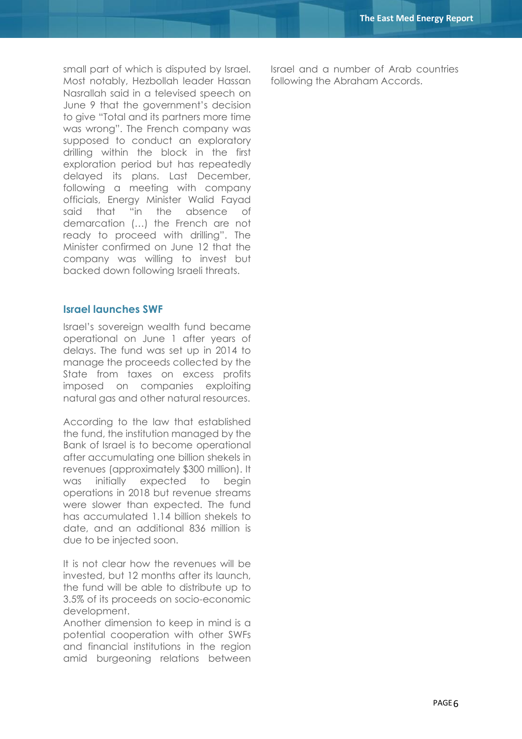small part of which is disputed by Israel. Most notably, Hezbollah leader Hassan Nasrallah said in a televised speech on June 9 that the government's decision to give "Total and its partners more time was wrong". The French company was supposed to conduct an exploratory drilling within the block in the first exploration period but has repeatedly delayed its plans. Last December, following a meeting with company officials, Energy Minister Walid Fayad said that "in the absence of demarcation (…) the French are not ready to proceed with drilling". The Minister confirmed on June 12 that the company was willing to invest but backed down following Israeli threats.

#### **Israel launches SWF**

Israel's sovereign wealth fund became operational on June 1 after years of delays. The fund was set up in 2014 to manage the proceeds collected by the State from taxes on excess profits imposed on companies exploiting natural gas and other natural resources.

According to the law that established the fund, the institution managed by the Bank of Israel is to become operational after accumulating one billion shekels in revenues (approximately \$300 million). It was initially expected to begin operations in 2018 but revenue streams were slower than expected. The fund has accumulated 1.14 billion shekels to date, and an additional 836 million is due to be injected soon.

It is not clear how the revenues will be invested, but 12 months after its launch, the fund will be able to distribute up to 3.5% of its proceeds on socio-economic development.

Another dimension to keep in mind is a potential cooperation with other SWFs and financial institutions in the region amid burgeoning relations between

Israel and a number of Arab countries following the Abraham Accords.